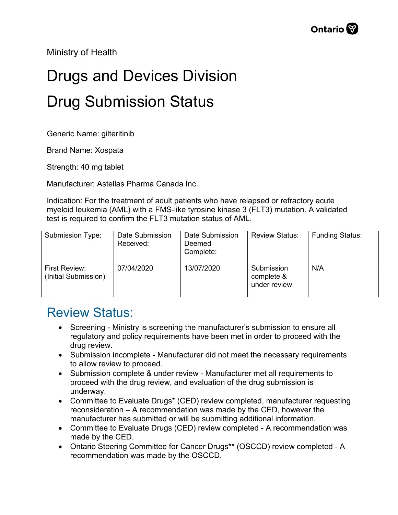Ministry of Health

## Drugs and Devices Division Drug Submission Status

Generic Name: gilteritinib

Brand Name: Xospata

Strength: 40 mg tablet

Manufacturer: Astellas Pharma Canada Inc.

Indication: For the treatment of adult patients who have relapsed or refractory acute myeloid leukemia (AML) with a FMS-like tyrosine kinase 3 (FLT3) mutation. A validated test is required to confirm the FLT3 mutation status of AML.

| Submission Type:                      | Date Submission<br>Received: | Date Submission<br>Deemed<br>Complete: | <b>Review Status:</b>                    | <b>Funding Status:</b> |
|---------------------------------------|------------------------------|----------------------------------------|------------------------------------------|------------------------|
| First Review:<br>(Initial Submission) | 07/04/2020                   | 13/07/2020                             | Submission<br>complete &<br>under review | N/A                    |

## Review Status:

- Screening Ministry is screening the manufacturer's submission to ensure all regulatory and policy requirements have been met in order to proceed with the drug review.
- Submission incomplete Manufacturer did not meet the necessary requirements to allow review to proceed.
- Submission complete & under review Manufacturer met all requirements to proceed with the drug review, and evaluation of the drug submission is underway.
- Committee to Evaluate Drugs\* (CED) review completed, manufacturer requesting reconsideration – A recommendation was made by the CED, however the manufacturer has submitted or will be submitting additional information.
- Committee to Evaluate Drugs (CED) review completed A recommendation was made by the CED.
- Ontario Steering Committee for Cancer Drugs\*\* (OSCCD) review completed A recommendation was made by the OSCCD.